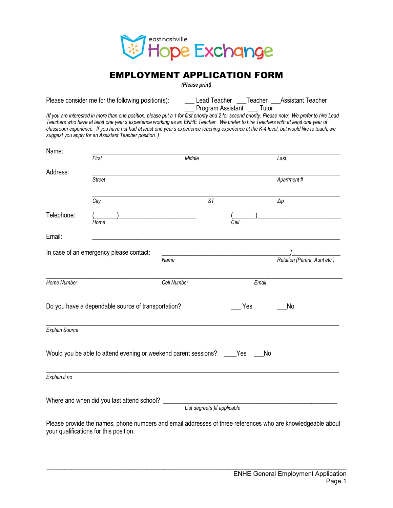

## EMPLOYMENT APPLICATION FORM

*(Please print)*

Please consider me for the following position(s): \_\_\_\_\_\_\_\_\_ Lead Teacher \_\_\_\_Teacher \_\_\_\_Assistant Teacher \_\_\_ Program Assistant \_\_\_ Tutor

*(If you are interested in more than one position, please put a 1 for first priority and 2 for second priority. Please note: We prefer to hire Lead Teachers who have at least one year's experience working as an ENHE Teacher. We prefer to hire Teachers with at least one year of*  classroom experience. If you have not had at least one year's experience teaching experience at the K-4 level, but would like to teach, we *suggest you apply for an Assistant Teacher position. )*

| Name:                                              |                                                                                                                                                       |                              |           |                              |
|----------------------------------------------------|-------------------------------------------------------------------------------------------------------------------------------------------------------|------------------------------|-----------|------------------------------|
|                                                    | First                                                                                                                                                 | Middle                       |           | Last                         |
| Address:                                           | <b>Street</b>                                                                                                                                         |                              |           | Apartment#                   |
|                                                    | City                                                                                                                                                  | <b>ST</b>                    |           | Zip                          |
| Telephone:                                         | Home                                                                                                                                                  |                              | Cell      |                              |
| Email:                                             |                                                                                                                                                       |                              |           |                              |
|                                                    | In case of an emergency please contact:                                                                                                               |                              |           |                              |
|                                                    |                                                                                                                                                       | Name                         |           | Relation (Parent, Aunt etc.) |
| Home Number                                        |                                                                                                                                                       | Cell Number                  | Email     |                              |
| Do you have a dependable source of transportation? |                                                                                                                                                       |                              | Yes       | No                           |
| <b>Explain Source</b>                              |                                                                                                                                                       |                              |           |                              |
|                                                    | Would you be able to attend evening or weekend parent sessions?                                                                                       |                              | Yes<br>No |                              |
| Explain if no                                      |                                                                                                                                                       |                              |           |                              |
|                                                    | Where and when did you last attend school?                                                                                                            | List degree(s) if applicable |           |                              |
|                                                    | Please provide the names, phone numbers and email addresses of three references who are knowledgeable about<br>your qualifications for this position. |                              |           |                              |

 $\mathcal{L}_\text{max}$  , and the contribution of the contribution of the contribution of the contribution of the contribution of the contribution of the contribution of the contribution of the contribution of the contribution of t